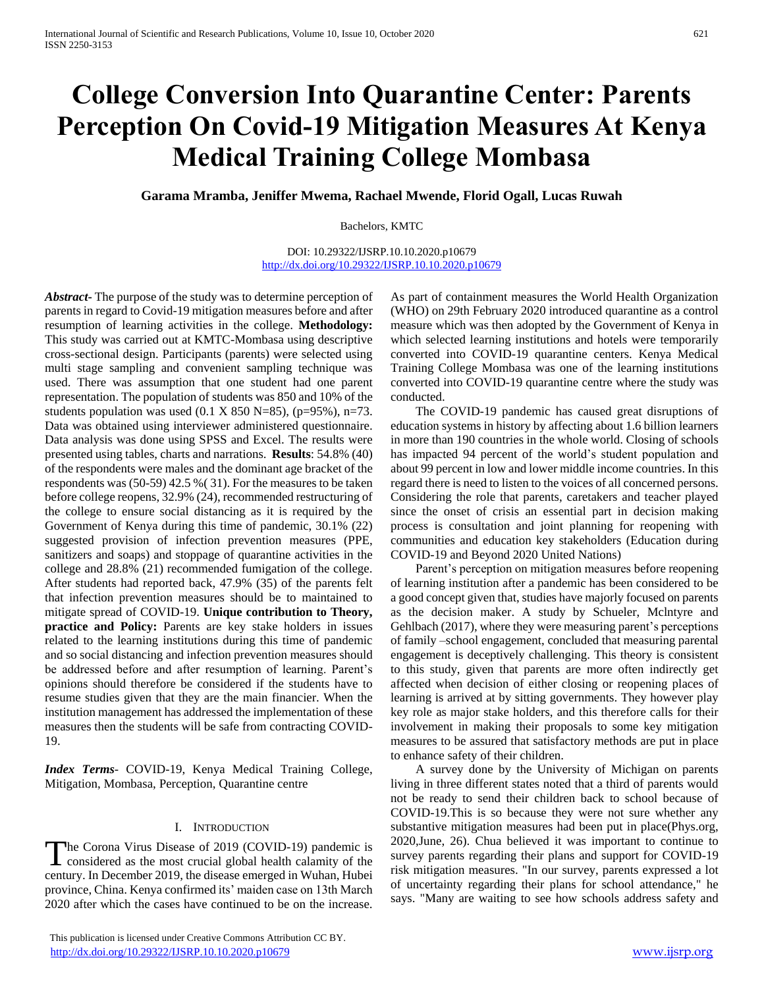# **College Conversion Into Quarantine Center: Parents Perception On Covid-19 Mitigation Measures At Kenya Medical Training College Mombasa**

**Garama Mramba, Jeniffer Mwema, Rachael Mwende, Florid Ogall, Lucas Ruwah**

Bachelors, KMTC

DOI: 10.29322/IJSRP.10.10.2020.p10679 <http://dx.doi.org/10.29322/IJSRP.10.10.2020.p10679>

*Abstract***-** The purpose of the study was to determine perception of parents in regard to Covid-19 mitigation measures before and after resumption of learning activities in the college. **Methodology:**  This study was carried out at KMTC-Mombasa using descriptive cross-sectional design. Participants (parents) were selected using multi stage sampling and convenient sampling technique was used. There was assumption that one student had one parent representation. The population of students was 850 and 10% of the students population was used  $(0.1 \times 850 \text{ N} = 85)$ ,  $(p=95\%)$ , n=73. Data was obtained using interviewer administered questionnaire. Data analysis was done using SPSS and Excel. The results were presented using tables, charts and narrations. **Results**: 54.8% (40) of the respondents were males and the dominant age bracket of the respondents was (50-59) 42.5 %( 31). For the measures to be taken before college reopens, 32.9% (24), recommended restructuring of the college to ensure social distancing as it is required by the Government of Kenya during this time of pandemic, 30.1% (22) suggested provision of infection prevention measures (PPE, sanitizers and soaps) and stoppage of quarantine activities in the college and 28.8% (21) recommended fumigation of the college. After students had reported back, 47.9% (35) of the parents felt that infection prevention measures should be to maintained to mitigate spread of COVID-19. **Unique contribution to Theory, practice and Policy:** Parents are key stake holders in issues related to the learning institutions during this time of pandemic and so social distancing and infection prevention measures should be addressed before and after resumption of learning. Parent's opinions should therefore be considered if the students have to resume studies given that they are the main financier. When the institution management has addressed the implementation of these measures then the students will be safe from contracting COVID-19.

*Index Terms*- COVID-19, Kenya Medical Training College, Mitigation, Mombasa, Perception, Quarantine centre

## I. INTRODUCTION

The Corona Virus Disease of 2019 (COVID-19) pandemic is The Corona Virus Disease of 2019 (COVID-19) pandemic is considered as the most crucial global health calamity of the century. In December 2019, the disease emerged in Wuhan, Hubei province, China. Kenya confirmed its' maiden case on 13th March 2020 after which the cases have continued to be on the increase.

 This publication is licensed under Creative Commons Attribution CC BY. <http://dx.doi.org/10.29322/IJSRP.10.10.2020.p10679> [www.ijsrp.org](http://ijsrp.org/)

As part of containment measures the World Health Organization (WHO) on 29th February 2020 introduced quarantine as a control measure which was then adopted by the Government of Kenya in which selected learning institutions and hotels were temporarily converted into COVID-19 quarantine centers. Kenya Medical Training College Mombasa was one of the learning institutions converted into COVID-19 quarantine centre where the study was conducted.

 The COVID-19 pandemic has caused great disruptions of education systems in history by affecting about 1.6 billion learners in more than 190 countries in the whole world. Closing of schools has impacted 94 percent of the world's student population and about 99 percent in low and lower middle income countries. In this regard there is need to listen to the voices of all concerned persons. Considering the role that parents, caretakers and teacher played since the onset of crisis an essential part in decision making process is consultation and joint planning for reopening with communities and education key stakeholders (Education during COVID-19 and Beyond 2020 United Nations)

 Parent's perception on mitigation measures before reopening of learning institution after a pandemic has been considered to be a good concept given that, studies have majorly focused on parents as the decision maker. A study by Schueler, Mclntyre and Gehlbach (2017), where they were measuring parent's perceptions of family –school engagement, concluded that measuring parental engagement is deceptively challenging. This theory is consistent to this study, given that parents are more often indirectly get affected when decision of either closing or reopening places of learning is arrived at by sitting governments. They however play key role as major stake holders, and this therefore calls for their involvement in making their proposals to some key mitigation measures to be assured that satisfactory methods are put in place to enhance safety of their children.

 A survey done by the University of Michigan on parents living in three different states noted that a third of parents would not be ready to send their children back to school because of COVID-19.This is so because they were not sure whether any substantive mitigation measures had been put in place(Phys.org, 2020,June, 26). Chua believed it was important to continue to survey parents regarding their plans and support for COVID-19 risk mitigation measures. "In our survey, parents expressed a lot of uncertainty regarding their plans for school attendance," he says. "Many are waiting to see how schools address safety and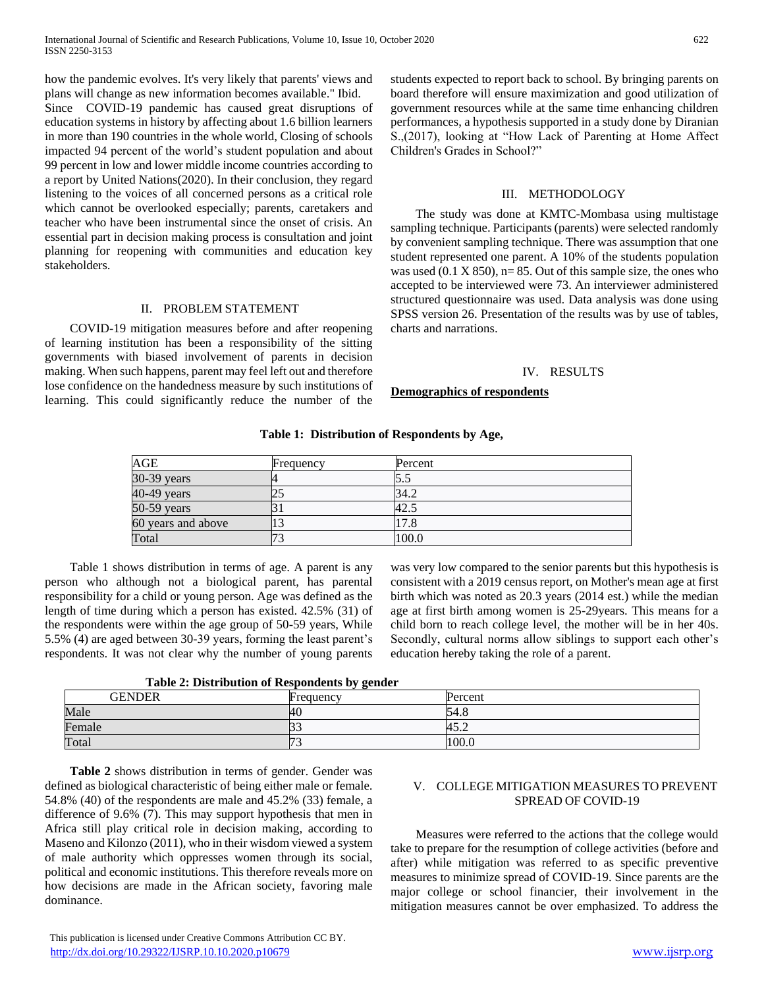how the pandemic evolves. It's very likely that parents' views and plans will change as new information becomes available." Ibid. Since COVID-19 pandemic has caused great disruptions of education systems in history by affecting about 1.6 billion learners in more than 190 countries in the whole world, Closing of schools impacted 94 percent of the world's student population and about 99 percent in low and lower middle income countries according to a report by United Nations(2020). In their conclusion, they regard listening to the voices of all concerned persons as a critical role which cannot be overlooked especially; parents, caretakers and teacher who have been instrumental since the onset of crisis. An essential part in decision making process is consultation and joint planning for reopening with communities and education key stakeholders.

# II. PROBLEM STATEMENT

 COVID-19 mitigation measures before and after reopening of learning institution has been a responsibility of the sitting governments with biased involvement of parents in decision making. When such happens, parent may feel left out and therefore lose confidence on the handedness measure by such institutions of learning. This could significantly reduce the number of the students expected to report back to school. By bringing parents on board therefore will ensure maximization and good utilization of government resources while at the same time enhancing children performances, a hypothesis supported in a study done by Diranian S.,(2017), looking at "How Lack of Parenting at Home Affect Children's Grades in School?"

## III. METHODOLOGY

 The study was done at KMTC-Mombasa using multistage sampling technique. Participants (parents) were selected randomly by convenient sampling technique. There was assumption that one student represented one parent. A 10% of the students population was used  $(0.1 \times 850)$ , n= 85. Out of this sample size, the ones who accepted to be interviewed were 73. An interviewer administered structured questionnaire was used. Data analysis was done using SPSS version 26. Presentation of the results was by use of tables, charts and narrations.

### IV. RESULTS

# **Demographics of respondents**

| AGE                | Frequency | Percent |
|--------------------|-----------|---------|
| 30-39 years        |           |         |
| $40-49$ years      | ندك       | 34.2    |
| $50-59$ years      |           | 42.5    |
| 60 years and above |           | 17.8    |
| Total              | 73        | 100.0   |

**Table 1: Distribution of Respondents by Age,**

 Table 1 shows distribution in terms of age. A parent is any person who although not a biological parent, has parental responsibility for a child or young person. Age was defined as the length of time during which a person has existed. 42.5% (31) of the respondents were within the age group of 50-59 years, While 5.5% (4) are aged between 30-39 years, forming the least parent's respondents. It was not clear why the number of young parents

was very low compared to the senior parents but this hypothesis is consistent with a 2019 census report, on Mother's mean age at first birth which was noted as 20.3 years (2014 est.) while the median age at first birth among women is 25-29years. This means for a child born to reach college level, the mother will be in her 40s. Secondly, cultural norms allow siblings to support each other's education hereby taking the role of a parent.

**Table 2: Distribution of Respondents by gender**

|               | . .           |         |
|---------------|---------------|---------|
| <b>GENDER</b> | Frequency     | Percent |
| Male          | 40            | 54.8    |
| Female        | $\sim$        | 45.2    |
| Total         | $\sim$<br>. . | 100.0   |

 **Table 2** shows distribution in terms of gender. Gender was defined as biological characteristic of being either male or female. 54.8% (40) of the respondents are male and 45.2% (33) female, a difference of 9.6% (7). This may support hypothesis that men in Africa still play critical role in decision making, according to Maseno and Kilonzo (2011), who in their wisdom viewed a system of male authority which oppresses women through its social, political and economic institutions. This therefore reveals more on how decisions are made in the African society, favoring male dominance.

# V. COLLEGE MITIGATION MEASURES TO PREVENT SPREAD OF COVID-19

 Measures were referred to the actions that the college would take to prepare for the resumption of college activities (before and after) while mitigation was referred to as specific preventive measures to minimize spread of COVID-19. Since parents are the major college or school financier, their involvement in the mitigation measures cannot be over emphasized. To address the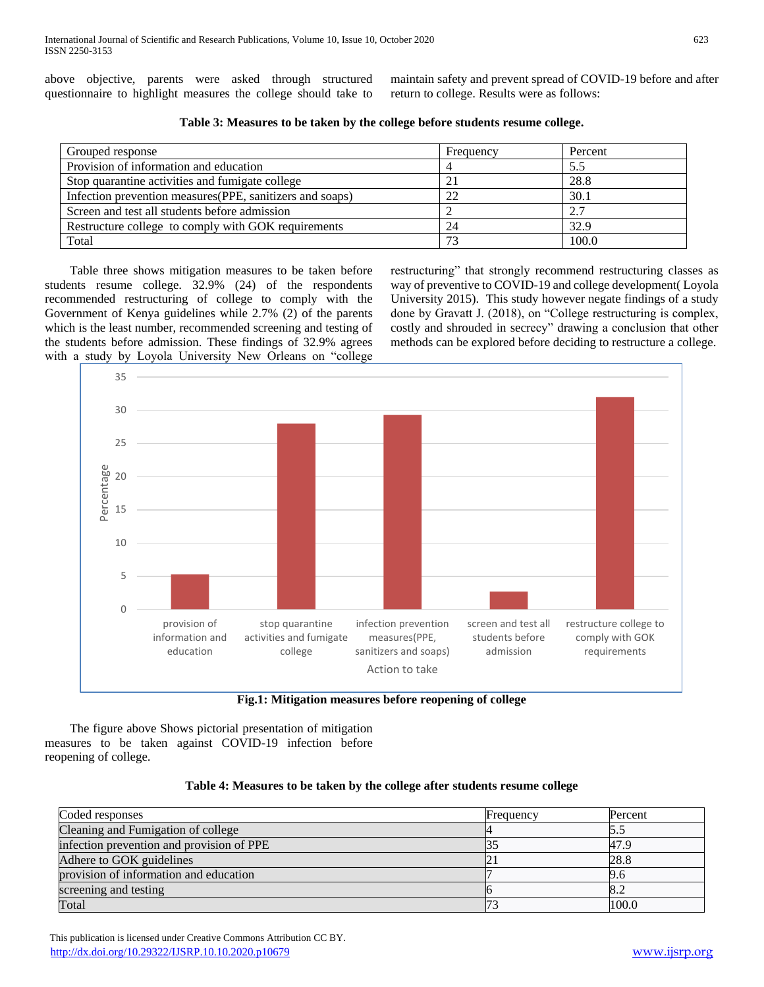above objective, parents were asked through structured questionnaire to highlight measures the college should take to maintain safety and prevent spread of COVID-19 before and after return to college. Results were as follows:

| Grouped response                                          | Frequency | Percent |
|-----------------------------------------------------------|-----------|---------|
| Provision of information and education                    |           | 5.5     |
| Stop quarantine activities and fumigate college           | 21        | 28.8    |
| Infection prevention measures (PPE, sanitizers and soaps) | 22        | 30.1    |
| Screen and test all students before admission             |           | 2.7     |
| Restructure college to comply with GOK requirements       | 24        | 32.9    |
| Total                                                     | 73        | 100.0   |

 Table three shows mitigation measures to be taken before students resume college. 32.9% (24) of the respondents recommended restructuring of college to comply with the Government of Kenya guidelines while 2.7% (2) of the parents which is the least number, recommended screening and testing of the students before admission. These findings of 32.9% agrees with a study by Loyola University New Orleans on "college

restructuring" that strongly recommend restructuring classes as way of preventive to COVID-19 and college development( Loyola University 2015). This study however negate findings of a study done by Gravatt J. (2018), on "College restructuring is complex, costly and shrouded in secrecy" drawing a conclusion that other methods can be explored before deciding to restructure a college.



**Fig.1: Mitigation measures before reopening of college**

 The figure above Shows pictorial presentation of mitigation measures to be taken against COVID-19 infection before reopening of college.

# **Table 4: Measures to be taken by the college after students resume college**

| Coded responses                           | Frequency | Percent |
|-------------------------------------------|-----------|---------|
| Cleaning and Fumigation of college        |           |         |
| infection prevention and provision of PPE |           | 47.9    |
| Adhere to GOK guidelines                  |           | 28.8    |
| provision of information and education    |           | 9.6     |
| screening and testing                     |           | 8.2     |
| Total                                     |           | 100.0   |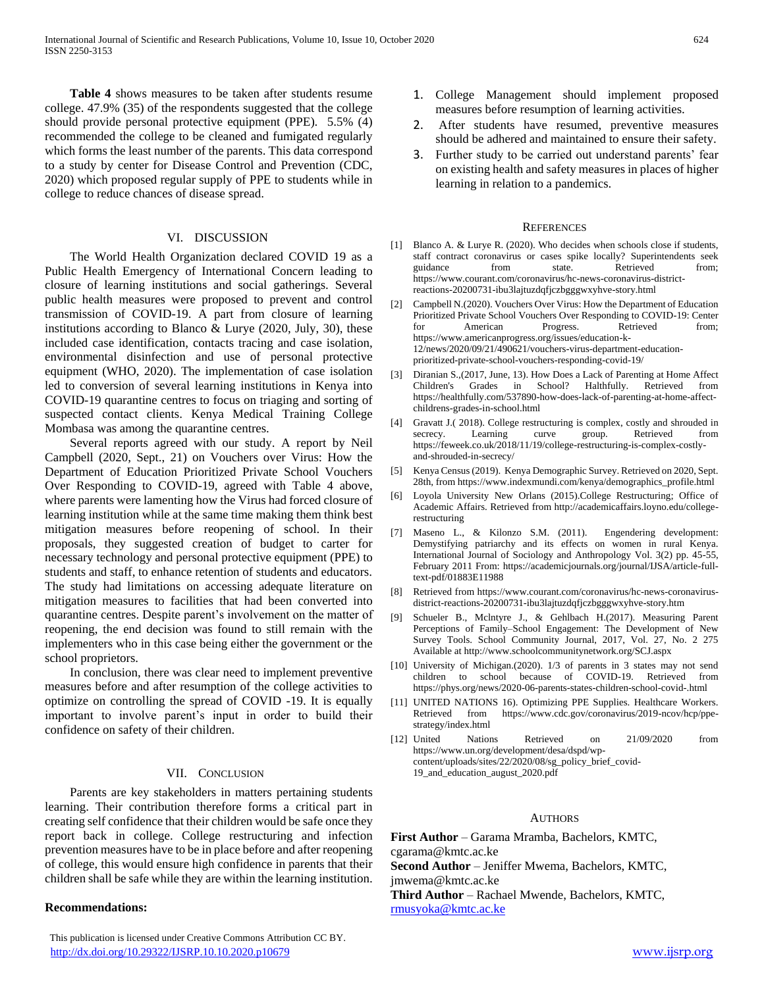**Table 4** shows measures to be taken after students resume college. 47.9% (35) of the respondents suggested that the college should provide personal protective equipment (PPE). 5.5% (4) recommended the college to be cleaned and fumigated regularly which forms the least number of the parents. This data correspond to a study by center for Disease Control and Prevention (CDC, 2020) which proposed regular supply of PPE to students while in college to reduce chances of disease spread.

# VI. DISCUSSION

 The World Health Organization declared COVID 19 as a Public Health Emergency of International Concern leading to closure of learning institutions and social gatherings. Several public health measures were proposed to prevent and control transmission of COVID-19. A part from closure of learning institutions according to Blanco & Lurye (2020, July, 30), these included case identification, contacts tracing and case isolation, environmental disinfection and use of personal protective equipment (WHO, 2020). The implementation of case isolation led to conversion of several learning institutions in Kenya into COVID-19 quarantine centres to focus on triaging and sorting of suspected contact clients. Kenya Medical Training College Mombasa was among the quarantine centres.

 Several reports agreed with our study. A report by Neil Campbell (2020, Sept., 21) on Vouchers over Virus: How the Department of Education Prioritized Private School Vouchers Over Responding to COVID-19, agreed with Table 4 above, where parents were lamenting how the Virus had forced closure of learning institution while at the same time making them think best mitigation measures before reopening of school. In their proposals, they suggested creation of budget to carter for necessary technology and personal protective equipment (PPE) to students and staff, to enhance retention of students and educators. The study had limitations on accessing adequate literature on mitigation measures to facilities that had been converted into quarantine centres. Despite parent's involvement on the matter of reopening, the end decision was found to still remain with the implementers who in this case being either the government or the school proprietors.

 In conclusion, there was clear need to implement preventive measures before and after resumption of the college activities to optimize on controlling the spread of COVID -19. It is equally important to involve parent's input in order to build their confidence on safety of their children.

## VII. CONCLUSION

 Parents are key stakeholders in matters pertaining students learning. Their contribution therefore forms a critical part in creating self confidence that their children would be safe once they report back in college. College restructuring and infection prevention measures have to be in place before and after reopening of college, this would ensure high confidence in parents that their children shall be safe while they are within the learning institution.

#### **Recommendations:**

 This publication is licensed under Creative Commons Attribution CC BY. <http://dx.doi.org/10.29322/IJSRP.10.10.2020.p10679> [www.ijsrp.org](http://ijsrp.org/)

- 1. College Management should implement proposed measures before resumption of learning activities.
- 2. After students have resumed, preventive measures should be adhered and maintained to ensure their safety.
- 3. Further study to be carried out understand parents' fear on existing health and safety measures in places of higher learning in relation to a pandemics.

#### **REFERENCES**

- [1] Blanco A. & Lurye R. (2020). Who decides when schools close if students, staff contract coronavirus or cases spike locally? Superintendents seek guidance from state. Retrieved from; https://www.courant.com/coronavirus/hc-news-coronavirus-districtreactions-20200731-ibu3lajtuzdqfjczbgggwxyhve-story.html
- [2] Campbell N.(2020). Vouchers Over Virus: How the Department of Education Prioritized Private School Vouchers Over Responding to COVID-19: Center for American Progress. Retrieved from; https://www.americanprogress.org/issues/education-k-12/news/2020/09/21/490621/vouchers-virus-department-educationprioritized-private-school-vouchers-responding-covid-19/
- [3] Diranian S.,(2017, June, 13). How Does a Lack of Parenting at Home Affect Children's Grades in School? Halthfully. Retrieved from https://healthfully.com/537890-how-does-lack-of-parenting-at-home-affectchildrens-grades-in-school.html
- [4] Gravatt J.( 2018). College restructuring is complex, costly and shrouded in secrecy. Learning curve group. Retrieved from https://feweek.co.uk/2018/11/19/college-restructuring-is-complex-costlyand-shrouded-in-secrecy/
- [5] Kenya Census (2019). Kenya Demographic Survey. Retrieved on 2020, Sept. 28th, from https://www.indexmundi.com/kenya/demographics\_profile.html
- [6] Loyola University New Orlans (2015).College Restructuring; Office of Academic Affairs. Retrieved from http://academicaffairs.loyno.edu/collegerestructuring
- [7] Maseno L., & Kilonzo S.M. (2011). Engendering development: Demystifying patriarchy and its effects on women in rural Kenya. International Journal of Sociology and Anthropology Vol. 3(2) pp. 45-55, February 2011 From: https://academicjournals.org/journal/IJSA/article-fulltext-pdf/01883E11988
- [8] Retrieved from https://www.courant.com/coronavirus/hc-news-coronavirusdistrict-reactions-20200731-ibu3lajtuzdqfjczbgggwxyhve-story.htm
- [9] Schueler B., Mclntyre J., & Gehlbach H.(2017). Measuring Parent Perceptions of Family–School Engagement: The Development of New Survey Tools. School Community Journal, 2017, Vol. 27, No. 2 275 Available at http://www.schoolcommunitynetwork.org/SCJ.aspx
- [10] University of Michigan.(2020). 1/3 of parents in 3 states may not send children to school because of COVID-19. Retrieved from https://phys.org/news/2020-06-parents-states-children-school-covid-.html
- [11] UNITED NATIONS 16). Optimizing PPE Supplies. Healthcare Workers. Retrieved from https://www.cdc.gov/coronavirus/2019-ncov/hcp/ppestrategy/index.html
- [12] United Nations Retrieved on 21/09/2020 from https://www.un.org/development/desa/dspd/wpcontent/uploads/sites/22/2020/08/sg\_policy\_brief\_covid-19\_and\_education\_august\_2020.pdf

#### AUTHORS

**First Author** – Garama Mramba, Bachelors, KMTC, cgarama@kmtc.ac.ke **Second Author** – Jeniffer Mwema, Bachelors, KMTC, jmwema@kmtc.ac.ke **Third Author** – Rachael Mwende, Bachelors, KMTC, [rmusyoka@kmtc.ac.ke](mailto:rmusyoka@kmtc.ac.ke)